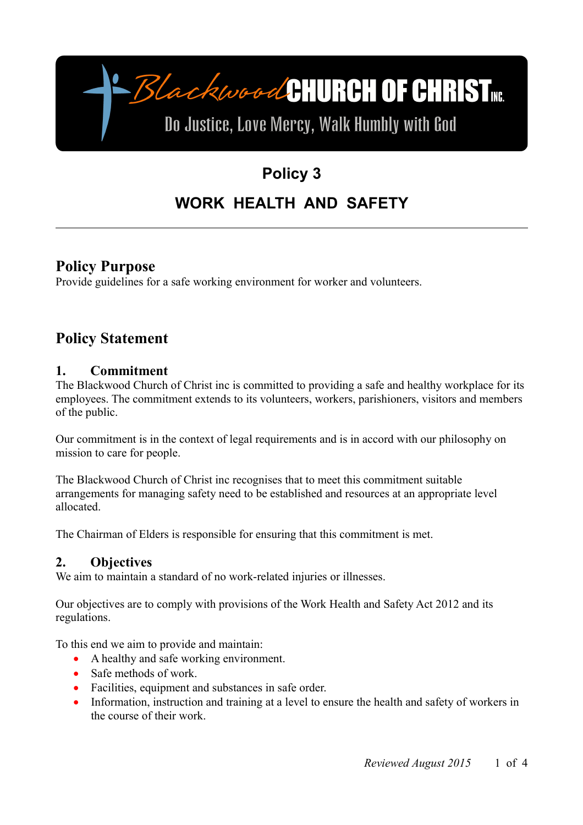

# **Policy 3 WORK HEALTH AND SAFETY**

### **Policy Purpose**

Provide guidelines for a safe working environment for worker and volunteers.

## **Policy Statement**

#### **1. Commitment**

The Blackwood Church of Christ inc is committed to providing a safe and healthy workplace for its employees. The commitment extends to its volunteers, workers, parishioners, visitors and members of the public.

Our commitment is in the context of legal requirements and is in accord with our philosophy on mission to care for people.

The Blackwood Church of Christ inc recognises that to meet this commitment suitable arrangements for managing safety need to be established and resources at an appropriate level allocated.

The Chairman of Elders is responsible for ensuring that this commitment is met.

#### **2. Objectives**

We aim to maintain a standard of no work-related injuries or illnesses.

Our objectives are to comply with provisions of the Work Health and Safety Act 2012 and its regulations.

To this end we aim to provide and maintain:

- A healthy and safe working environment.
- Safe methods of work.
- Facilities, equipment and substances in safe order.
- Information, instruction and training at a level to ensure the health and safety of workers in the course of their work.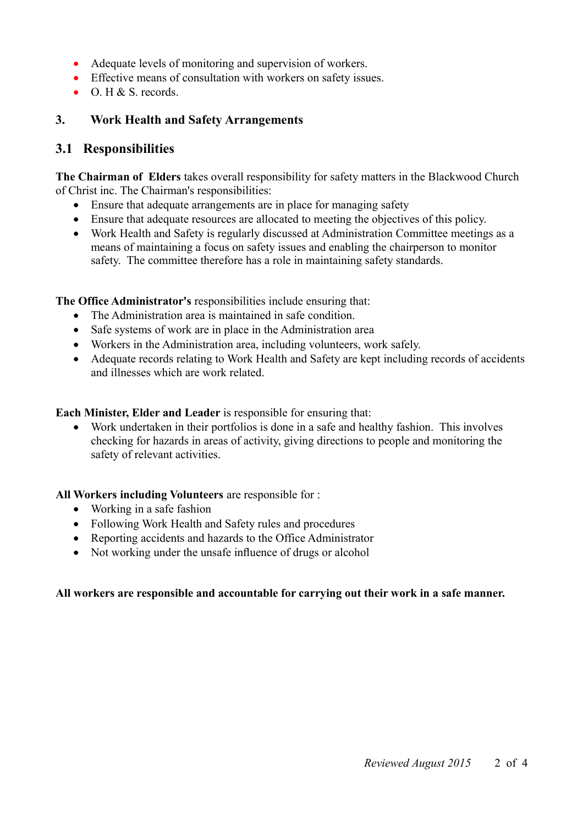- Adequate levels of monitoring and supervision of workers.
- Effective means of consultation with workers on safety issues.
- $\bullet$  O. H & S. records.

#### **3. Work Health and Safety Arrangements**

#### **3.1 Responsibilities**

**The Chairman of Elders** takes overall responsibility for safety matters in the Blackwood Church of Christ inc. The Chairman's responsibilities:

- Ensure that adequate arrangements are in place for managing safety
- Ensure that adequate resources are allocated to meeting the objectives of this policy.
- Work Health and Safety is regularly discussed at Administration Committee meetings as a means of maintaining a focus on safety issues and enabling the chairperson to monitor safety. The committee therefore has a role in maintaining safety standards.

**The Office Administrator's** responsibilities include ensuring that:

- The Administration area is maintained in safe condition.
- Safe systems of work are in place in the Administration area
- Workers in the Administration area, including volunteers, work safely.
- Adequate records relating to Work Health and Safety are kept including records of accidents and illnesses which are work related.

**Each Minister, Elder and Leader** is responsible for ensuring that:

 Work undertaken in their portfolios is done in a safe and healthy fashion. This involves checking for hazards in areas of activity, giving directions to people and monitoring the safety of relevant activities.

**All Workers including Volunteers** are responsible for :

- Working in a safe fashion
- Following Work Health and Safety rules and procedures
- Reporting accidents and hazards to the Office Administrator
- Not working under the unsafe influence of drugs or alcohol

#### **All workers are responsible and accountable for carrying out their work in a safe manner.**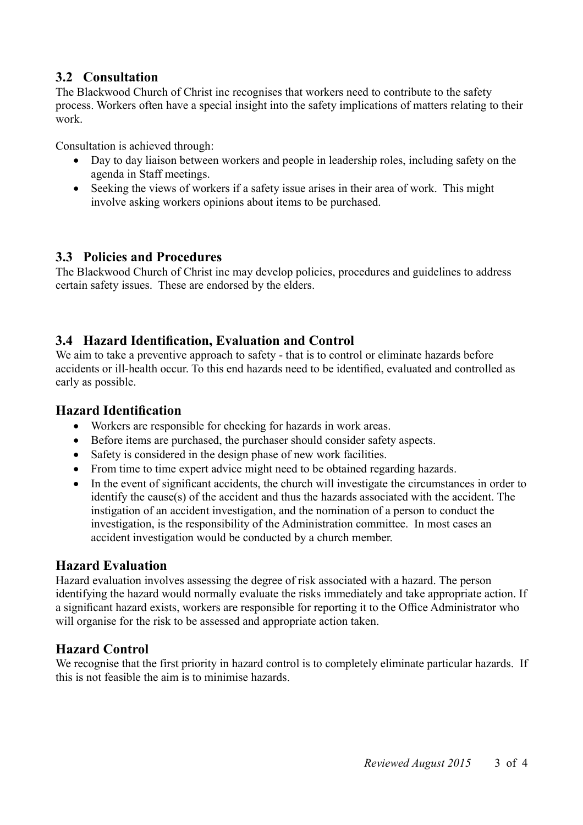### **3.2 Consultation**

The Blackwood Church of Christ inc recognises that workers need to contribute to the safety process. Workers often have a special insight into the safety implications of matters relating to their work.

Consultation is achieved through:

- Day to day liaison between workers and people in leadership roles, including safety on the agenda in Staff meetings.
- Seeking the views of workers if a safety issue arises in their area of work. This might involve asking workers opinions about items to be purchased.

#### **3.3 Policies and Procedures**

The Blackwood Church of Christ inc may develop policies, procedures and guidelines to address certain safety issues. These are endorsed by the elders.

#### **3.4 Hazard Identification, Evaluation and Control**

We aim to take a preventive approach to safety - that is to control or eliminate hazards before accidents or ill-health occur. To this end hazards need to be identified, evaluated and controlled as early as possible.

#### **Hazard Identification**

- Workers are responsible for checking for hazards in work areas.
- Before items are purchased, the purchaser should consider safety aspects.
- Safety is considered in the design phase of new work facilities.
- From time to time expert advice might need to be obtained regarding hazards.
- In the event of significant accidents, the church will investigate the circumstances in order to identify the cause(s) of the accident and thus the hazards associated with the accident. The instigation of an accident investigation, and the nomination of a person to conduct the investigation, is the responsibility of the Administration committee. In most cases an accident investigation would be conducted by a church member.

#### **Hazard Evaluation**

Hazard evaluation involves assessing the degree of risk associated with a hazard. The person identifying the hazard would normally evaluate the risks immediately and take appropriate action. If a significant hazard exists, workers are responsible for reporting it to the Office Administrator who will organise for the risk to be assessed and appropriate action taken.

#### **Hazard Control**

We recognise that the first priority in hazard control is to completely eliminate particular hazards. If this is not feasible the aim is to minimise hazards.